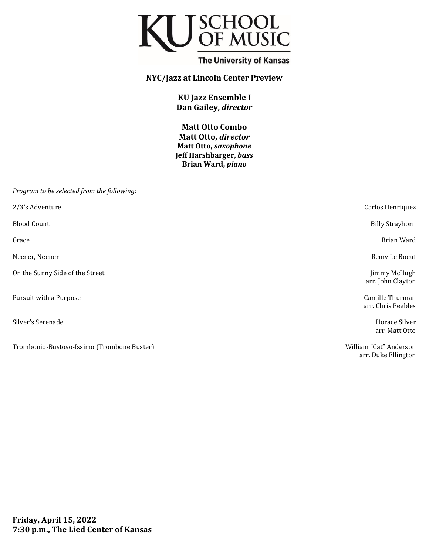

# **The University of Kansas**

# **NYC/Jazz at Lincoln Center Preview**

**KU Jazz Ensemble I Dan Gailey,** *director*

**Matt Otto Combo Matt Otto,** *director* **Matt Otto,** *saxophone* **Jeff Harshbarger,** *bass* **Brian Ward,** *piano*

*Program to be selected from the following:*

| 2/3's Adventure                            | Carlos Henriquez                              |
|--------------------------------------------|-----------------------------------------------|
| <b>Blood Count</b>                         | <b>Billy Strayhorn</b>                        |
| Grace                                      | Brian Ward                                    |
| Neener, Neener                             | Remy Le Boeuf                                 |
| On the Sunny Side of the Street            | Jimmy McHugh<br>arr. John Clayton             |
| Pursuit with a Purpose                     | Camille Thurman<br>arr. Chris Peebles         |
| Silver's Serenade                          | Horace Silver<br>arr. Matt Otto               |
| Trombonio-Bustoso-Issimo (Trombone Buster) | William "Cat" Anderson<br>arr. Duke Ellington |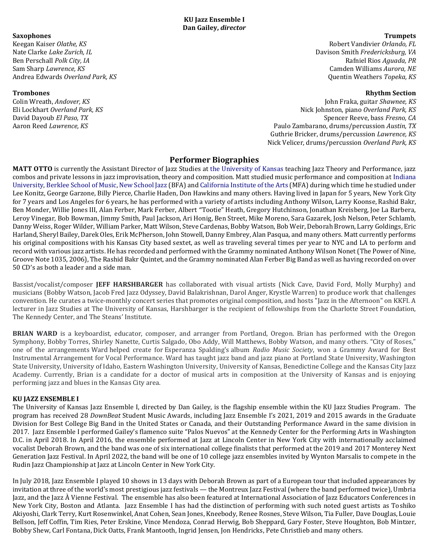#### **KU Jazz Ensemble I Dan Gailey,** *director*

Keegan Kaiser *Olathe, KS* Robert Vandivier *Orlando, FL* 

## **Trombones Rhythm Section**

Colin Wreath, *Andover, KS* John Fraka, guitar *Shawnee, KS* Eli Lockhart *Overland Park, KS* Nick Johnston, piano *Overland Park, KS* David Dayoub *El Paso, TX*  $\sim$  *CA*  $\sim$  *CA*  $\sim$  *Spencer Reeve, bass Fresno, CA* Aaron Reed *Lawrence, KS* Paulo Zambarano, drums/percussion *Austin, TX* Guthrie Bricker, drums/percussion *Lawrence, KS* Nick Velicer, drums/percussion *Overland Park, KS*

## **Performer Biographies**

**MATT OTTO** is currently the Assistant Director of Jazz Studies at the University of Kansas teaching Jazz Theory and Performance, jazz combos and private lessons in jazz improvisation, theory and composition. Matt studied music performance and composition at Indiana University, Berklee School of Music, New School Jazz (BFA) and California Institute of the Arts (MFA) during which time he studied under Lee Konitz, George Garzone, Billy Pierce, Charlie Haden, Don Hawkins and many others. Having lived in Japan for 5 years, New York City for 7 years and Los Angeles for 6 years, he has performed with a variety of artists including Anthony Wilson, Larry Koonse, Rashid Bakr, Ben Monder, Willie Jones III, Alan Ferber, Mark Ferber, Albert "Tootie" Heath, Gregory Hutchinson, Jonathan Kreisberg, Joe La Barbera, Leroy Vinegar, Bob Bowman, Jimmy Smith, Paul Jackson, Ari Honig, Ben Street, Mike Moreno, Sara Gazarek, Josh Nelson, Peter Schlamb, Danny Weiss, Roger Wilder, William Parker, Matt Wilson, Steve Cardenas, Bobby Watson, Bob Weir, Deborah Brown, Larry Goldings, Eric Harland, Sheryl Bailey, Darek Oles, Erik McPherson, John Stowell, Danny Embrey, Alan Pasqua, and many others. Matt currently performs his original compositions with his Kansas City based sextet, as well as traveling several times per year to NYC and LA to perform and record with various jazz artists. He has recorded and performed with the Grammy nominated Anthony Wilson Nonet (The Power of Nine, Groove Note 1035, 2006), The Rashid Bakr Quintet, and the Grammy nominated Alan Ferber Big Band as well as having recorded on over 50 CD's as both a leader and a side man.

Bassist/vocalist/composer **JEFF HARSHBARGER** has collaborated with visual artists (Nick Cave, David Ford, Molly Murphy) and musicians (Bobby Watson, Jacob Fred Jazz Odyssey, David Balakrishnan, Darol Anger, Krystle Warren) to produce work that challenges convention. He curates a twice-monthly concert series that promotes original composition, and hosts "Jazz in the Afternoon" on KKFI. A lecturer in Jazz Studies at The University of Kansas, Harshbarger is the recipient of fellowships from the Charlotte Street Foundation, The Kennedy Center, and The Steans' Institute.

**BRIAN WARD** is a keyboardist, educator, composer, and arranger from Portland, Oregon. Brian has performed with the Oregon Symphony, Bobby Torres, Shirley Nanette, Curtis Salgado, Obo Addy, Will Matthews, Bobby Watson, and many others. "City of Roses," one of the arrangements Ward helped create for Esperanza Spalding's album *Radio Music Society*, won a Grammy Award for Best Instrumental Arrangement for Vocal Performance. Ward has taught jazz band and jazz piano at Portland State University, Washington State University, University of Idaho, Eastern Washington University, University of Kansas, Benedictine College and the Kansas City Jazz Academy. Currently, Brian is a candidate for a doctor of musical arts in composition at the University of Kansas and is enjoying performing jazz and blues in the Kansas City area.

### **KU JAZZ ENSEMBLE I**

The University of Kansas Jazz Ensemble I, directed by Dan Gailey, is the flagship ensemble within the KU Jazz Studies Program. The program has received 28 *DownBeat* Student Music Awards, including Jazz Ensemble I's 2021, 2019 and 2015 awards in the Graduate Division for Best College Big Band in the United States or Canada, and their Outstanding Performance Award in the same division in 2017. Jazz Ensemble I performed Gailey's flamenco suite "Palos Nuevos" at the Kennedy Center for the Performing Arts in Washington D.C. in April 2018. In April 2016, the ensemble performed at Jazz at Lincoln Center in New York City with internationally acclaimed vocalist Deborah Brown, and the band was one of six international college finalists that performed at the 2019 and 2017 Monterey Next Generation Jazz Festival. In April 2022, the band will be one of 10 college jazz ensembles invited by Wynton Marsalis to compete in the Rudin Jazz Championship at Jazz at Lincoln Center in New York City.

In July 2018, Jazz Ensemble I played 10 shows in 13 days with Deborah Brown as part of a European tour that included appearances by invitation at three of the world's most prestigious jazz festivals — the Montreux Jazz Festival (where the band performed twice), Umbria Jazz, and the Jazz À Vienne Festival. The ensemble has also been featured at International Association of Jazz Educators Conferences in New York City, Boston and Atlanta. Jazz Ensemble I has had the distinction of performing with such noted guest artists as Toshiko Akiyoshi, Clark Terry, Kurt Rosenwinkel, Anat Cohen, Sean Jones, Kneebody, Renee Rosnes, Steve Wilson, Tia Fuller, Dave Douglas, Louie Bellson, Jeff Coffin, Tim Ries, Peter Erskine, Vince Mendoza, Conrad Herwig, Bob Sheppard, Gary Foster, Steve Houghton, Bob Mintzer, Bobby Shew, Carl Fontana, Dick Oatts, Frank Mantooth, Ingrid Jensen, Jon Hendricks, Pete Christlieb and many others.

#### **Saxophones Trumpets**

Nate Clarke *Lake Zurich, IL* Davison Smith *Fredericksburg, VA* Ben Perschall *Polk City, IA* Rafniel Rios *Aguada, PR* Sam Sharp *Lawrence, KS* Camden Williams *Aurora, NE* Andrea Edwards *Overland Park, KS* Quentin Weathers *Topeka, KS*